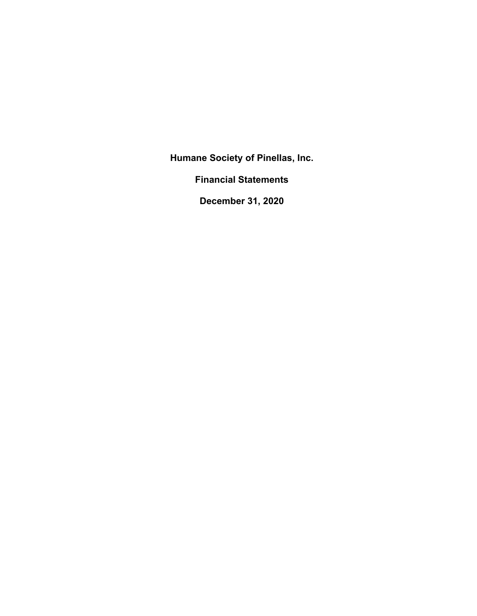**Financial Statements** 

**December 31, 2020**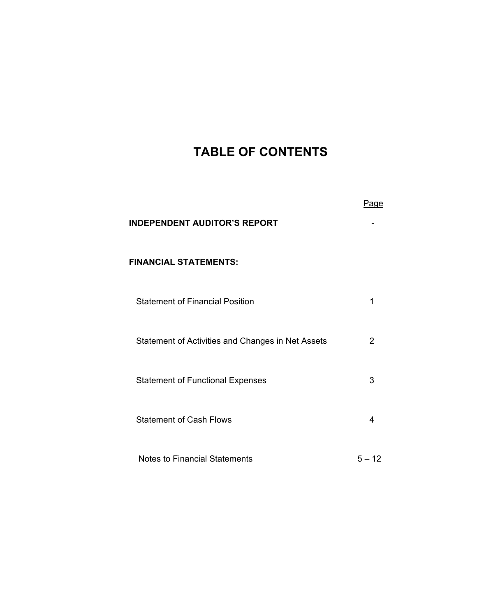# **TABLE OF CONTENTS**

|                                                   | <u>Page</u> |
|---------------------------------------------------|-------------|
| <b>INDEPENDENT AUDITOR'S REPORT</b>               |             |
| <b>FINANCIAL STATEMENTS:</b>                      |             |
| <b>Statement of Financial Position</b>            |             |
| Statement of Activities and Changes in Net Assets | 2           |
| <b>Statement of Functional Expenses</b>           | 3           |
| <b>Statement of Cash Flows</b>                    | 4           |
| <b>Notes to Financial Statements</b>              | $5 - 12$    |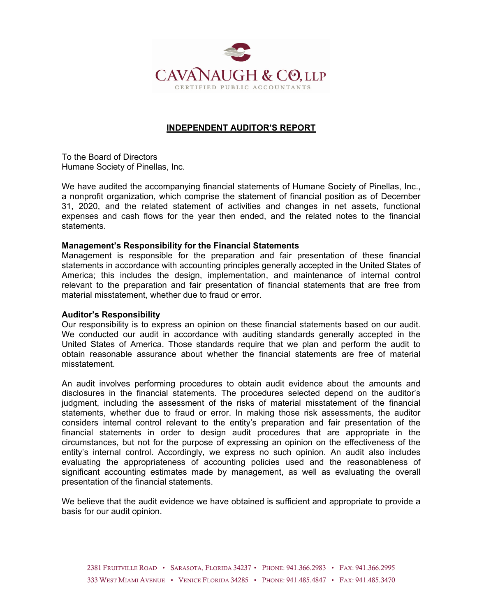

#### **INDEPENDENT AUDITOR'S REPORT**

To the Board of Directors Humane Society of Pinellas, Inc.

We have audited the accompanying financial statements of Humane Society of Pinellas, Inc., a nonprofit organization, which comprise the statement of financial position as of December 31, 2020, and the related statement of activities and changes in net assets, functional expenses and cash flows for the year then ended, and the related notes to the financial statements.

#### **Management's Responsibility for the Financial Statements**

Management is responsible for the preparation and fair presentation of these financial statements in accordance with accounting principles generally accepted in the United States of America; this includes the design, implementation, and maintenance of internal control relevant to the preparation and fair presentation of financial statements that are free from material misstatement, whether due to fraud or error.

#### **Auditor's Responsibility**

Our responsibility is to express an opinion on these financial statements based on our audit. We conducted our audit in accordance with auditing standards generally accepted in the United States of America. Those standards require that we plan and perform the audit to obtain reasonable assurance about whether the financial statements are free of material misstatement.

An audit involves performing procedures to obtain audit evidence about the amounts and disclosures in the financial statements. The procedures selected depend on the auditor's judgment, including the assessment of the risks of material misstatement of the financial statements, whether due to fraud or error. In making those risk assessments, the auditor considers internal control relevant to the entity's preparation and fair presentation of the financial statements in order to design audit procedures that are appropriate in the circumstances, but not for the purpose of expressing an opinion on the effectiveness of the entity's internal control. Accordingly, we express no such opinion. An audit also includes evaluating the appropriateness of accounting policies used and the reasonableness of significant accounting estimates made by management, as well as evaluating the overall presentation of the financial statements.

We believe that the audit evidence we have obtained is sufficient and appropriate to provide a basis for our audit opinion.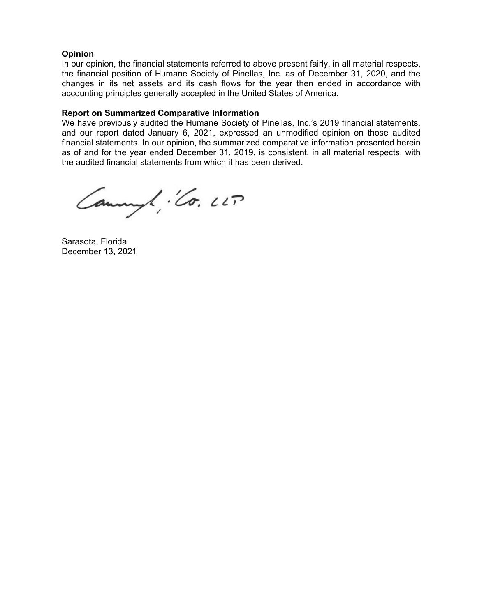#### **Opinion**

In our opinion, the financial statements referred to above present fairly, in all material respects, the financial position of Humane Society of Pinellas, Inc. as of December 31, 2020, and the changes in its net assets and its cash flows for the year then ended in accordance with accounting principles generally accepted in the United States of America.

#### **Report on Summarized Comparative Information**

We have previously audited the Humane Society of Pinellas, Inc.'s 2019 financial statements, and our report dated January 6, 2021, expressed an unmodified opinion on those audited financial statements. In our opinion, the summarized comparative information presented herein as of and for the year ended December 31, 2019, is consistent, in all material respects, with the audited financial statements from which it has been derived.

Cannyl : 'Co. LLT

Sarasota, Florida December 13, 2021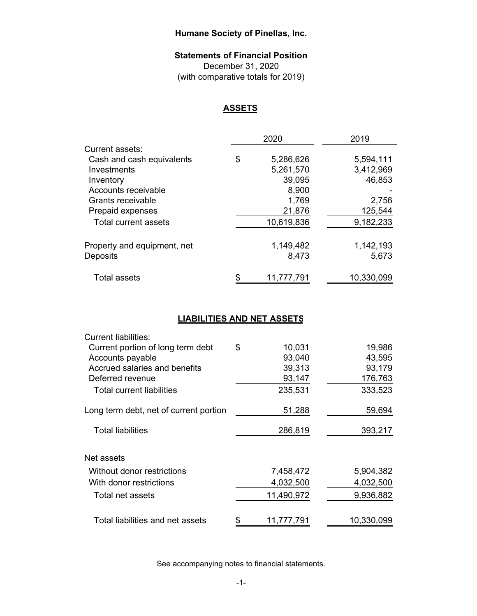### **Statements of Financial Position**

December 31, 2020 (with comparative totals for 2019)

## **ASSETS**

|                             | 2020             | 2019       |
|-----------------------------|------------------|------------|
| Current assets:             |                  |            |
| Cash and cash equivalents   | \$<br>5,286,626  | 5,594,111  |
| Investments                 | 5,261,570        | 3,412,969  |
| Inventory                   | 39,095           | 46,853     |
| Accounts receivable         | 8,900            |            |
| Grants receivable           | 1,769            | 2,756      |
| Prepaid expenses            | 21,876           | 125,544    |
| <b>Total current assets</b> | 10,619,836       | 9,182,233  |
| Property and equipment, net | 1,149,482        | 1,142,193  |
| Deposits                    | 8,473            | 5,673      |
| Total assets                | \$<br>11,777,791 | 10,330,099 |

## **LIABILITIES AND NET ASSETS**

| Current liabilities:                   |              |            |
|----------------------------------------|--------------|------------|
| Current portion of long term debt      | \$<br>10,031 | 19,986     |
| Accounts payable                       | 93,040       | 43,595     |
| Accrued salaries and benefits          | 39,313       | 93,179     |
| Deferred revenue                       | 93,147       | 176,763    |
| <b>Total current liabilities</b>       | 235,531      | 333,523    |
| Long term debt, net of current portion | 51,288       | 59,694     |
| <b>Total liabilities</b>               | 286,819      | 393,217    |
| Net assets                             |              |            |
| Without donor restrictions             | 7,458,472    | 5,904,382  |
| With donor restrictions                | 4,032,500    | 4,032,500  |
| Total net assets                       | 11,490,972   | 9,936,882  |
| Total liabilities and net assets       | 11,777,791   | 10,330,099 |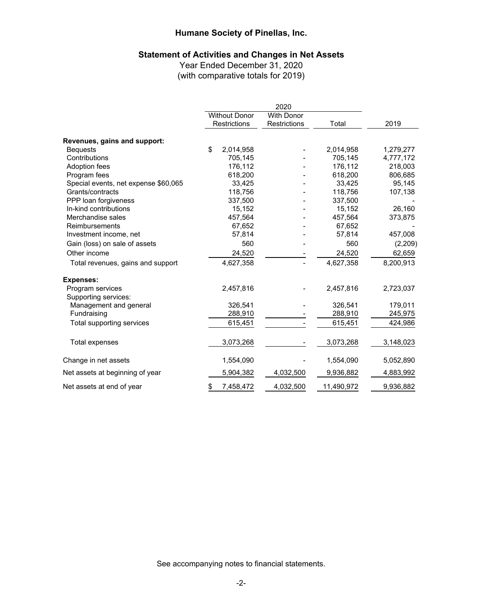## **Statement of Activities and Changes in Net Assets**

Year Ended December 31, 2020 (with comparative totals for 2019)

|                                      | 2020 |                      |                   |            |           |
|--------------------------------------|------|----------------------|-------------------|------------|-----------|
|                                      |      | <b>Without Donor</b> | <b>With Donor</b> |            |           |
|                                      |      | <b>Restrictions</b>  | Restrictions      | Total      | 2019      |
| Revenues, gains and support:         |      |                      |                   |            |           |
| <b>Bequests</b>                      | \$   | 2,014,958            |                   | 2,014,958  | 1,279,277 |
| Contributions                        |      | 705,145              |                   | 705,145    | 4,777,172 |
| Adoption fees                        |      | 176,112              |                   | 176,112    | 218,003   |
| Program fees                         |      | 618,200              |                   | 618,200    | 806,685   |
| Special events, net expense \$60,065 |      | 33,425               |                   | 33,425     | 95,145    |
| Grants/contracts                     |      | 118,756              |                   | 118,756    | 107,138   |
| PPP loan forgiveness                 |      | 337,500              |                   | 337,500    |           |
| In-kind contributions                |      | 15,152               |                   | 15,152     | 26,160    |
| Merchandise sales                    |      | 457,564              |                   | 457,564    | 373,875   |
| Reimbursements                       |      | 67,652               |                   | 67,652     |           |
| Investment income, net               |      | 57,814               |                   | 57,814     | 457,008   |
| Gain (loss) on sale of assets        |      | 560                  |                   | 560        | (2,209)   |
| Other income                         |      | 24,520               |                   | 24,520     | 62,659    |
| Total revenues, gains and support    |      | 4,627,358            |                   | 4,627,358  | 8,200,913 |
| <b>Expenses:</b>                     |      |                      |                   |            |           |
| Program services                     |      | 2,457,816            |                   | 2,457,816  | 2,723,037 |
| Supporting services:                 |      |                      |                   |            |           |
| Management and general               |      | 326,541              |                   | 326,541    | 179,011   |
| Fundraising                          |      | 288,910              |                   | 288,910    | 245,975   |
| Total supporting services            |      | 615,451              |                   | 615,451    | 424,986   |
| Total expenses                       |      | 3,073,268            |                   | 3,073,268  | 3,148,023 |
| Change in net assets                 |      | 1,554,090            |                   | 1,554,090  | 5,052,890 |
| Net assets at beginning of year      |      | 5,904,382            | 4,032,500         | 9,936,882  | 4,883,992 |
| Net assets at end of year            | \$   | 7,458,472            | 4,032,500         | 11,490,972 | 9,936,882 |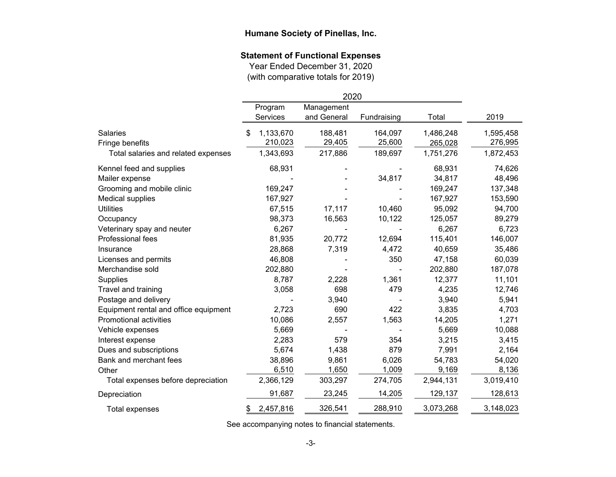## **Statement of Functional Expenses**

Year Ended December 31, 2020

(with comparative totals for 2019)

|                                       | 2020 |           |             |             |           |           |
|---------------------------------------|------|-----------|-------------|-------------|-----------|-----------|
|                                       |      | Program   | Management  |             |           |           |
|                                       |      | Services  | and General | Fundraising | Total     | 2019      |
| <b>Salaries</b>                       | S    | 1,133,670 | 188,481     | 164,097     | 1,486,248 | 1,595,458 |
| Fringe benefits                       |      | 210,023   | 29,405      | 25,600      | 265,028   | 276,995   |
| Total salaries and related expenses   |      | 1,343,693 | 217,886     | 189,697     | 1,751,276 | 1,872,453 |
| Kennel feed and supplies              |      | 68,931    |             |             | 68,931    | 74,626    |
| Mailer expense                        |      |           |             | 34,817      | 34,817    | 48,496    |
| Grooming and mobile clinic            |      | 169,247   |             |             | 169,247   | 137,348   |
| <b>Medical supplies</b>               |      | 167,927   |             |             | 167,927   | 153,590   |
| <b>Utilities</b>                      |      | 67,515    | 17,117      | 10,460      | 95,092    | 94,700    |
| Occupancy                             |      | 98,373    | 16,563      | 10,122      | 125,057   | 89,279    |
| Veterinary spay and neuter            |      | 6,267     |             |             | 6,267     | 6,723     |
| Professional fees                     |      | 81,935    | 20,772      | 12,694      | 115,401   | 146,007   |
| Insurance                             |      | 28,868    | 7,319       | 4,472       | 40,659    | 35,486    |
| Licenses and permits                  |      | 46,808    |             | 350         | 47,158    | 60,039    |
| Merchandise sold                      |      | 202,880   |             |             | 202,880   | 187,078   |
| Supplies                              |      | 8,787     | 2,228       | 1,361       | 12,377    | 11,101    |
| Travel and training                   |      | 3,058     | 698         | 479         | 4,235     | 12,746    |
| Postage and delivery                  |      |           | 3,940       |             | 3,940     | 5,941     |
| Equipment rental and office equipment |      | 2,723     | 690         | 422         | 3,835     | 4,703     |
| <b>Promotional activities</b>         |      | 10,086    | 2,557       | 1,563       | 14,205    | 1,271     |
| Vehicle expenses                      |      | 5,669     |             |             | 5,669     | 10,088    |
| Interest expense                      |      | 2,283     | 579         | 354         | 3,215     | 3,415     |
| Dues and subscriptions                |      | 5,674     | 1,438       | 879         | 7,991     | 2,164     |
| Bank and merchant fees                |      | 38,896    | 9,861       | 6,026       | 54,783    | 54,020    |
| Other                                 |      | 6,510     | 1,650       | 1,009       | 9,169     | 8,136     |
| Total expenses before depreciation    |      | 2,366,129 | 303,297     | 274,705     | 2,944,131 | 3,019,410 |
| Depreciation                          |      | 91,687    | 23,245      | 14,205      | 129,137   | 128,613   |
| <b>Total expenses</b>                 | \$   | 2,457,816 | 326,541     | 288,910     | 3,073,268 | 3,148,023 |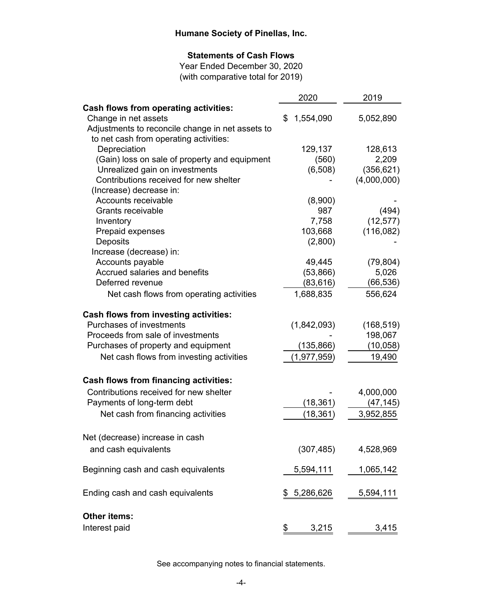## **Statements of Cash Flows**

Year Ended December 30, 2020 (with comparative total for 2019)

|                                                  | 2020            | 2019        |
|--------------------------------------------------|-----------------|-------------|
| <b>Cash flows from operating activities:</b>     |                 |             |
| Change in net assets                             | 1,554,090<br>\$ | 5,052,890   |
| Adjustments to reconcile change in net assets to |                 |             |
| to net cash from operating activities:           |                 |             |
| Depreciation                                     | 129,137         | 128,613     |
| (Gain) loss on sale of property and equipment    | (560)           | 2,209       |
| Unrealized gain on investments                   | (6,508)         | (356, 621)  |
| Contributions received for new shelter           |                 | (4,000,000) |
| (Increase) decrease in:                          |                 |             |
| Accounts receivable                              | (8,900)         |             |
| Grants receivable                                | 987             | (494)       |
| Inventory                                        | 7,758           | (12, 577)   |
| Prepaid expenses                                 | 103,668         | (116,082)   |
| Deposits                                         | (2,800)         |             |
| Increase (decrease) in:                          |                 |             |
| Accounts payable                                 | 49,445          | (79, 804)   |
| Accrued salaries and benefits                    | (53, 866)       | 5,026       |
| Deferred revenue                                 | (83, 616)       | (66, 536)   |
| Net cash flows from operating activities         | 1,688,835       | 556,624     |
| <b>Cash flows from investing activities:</b>     |                 |             |
| Purchases of investments                         | (1,842,093)     | (168, 519)  |
| Proceeds from sale of investments                |                 | 198,067     |
| Purchases of property and equipment              | (135,866)       | (10, 058)   |
| Net cash flows from investing activities         | (1,977,959)     | 19,490      |
| <b>Cash flows from financing activities:</b>     |                 |             |
| Contributions received for new shelter           |                 | 4,000,000   |
| Payments of long-term debt                       | (18,361)        | (47, 145)   |
| Net cash from financing activities               |                 | 3,952,855   |
|                                                  | (18,361)        |             |
| Net (decrease) increase in cash                  |                 |             |
| and cash equivalents                             | (307, 485)      | 4,528,969   |
| Beginning cash and cash equivalents              | 5,594,111       | 1,065,142   |
| Ending cash and cash equivalents                 | 5,286,626<br>P. | 5,594,111   |
| <b>Other items:</b>                              |                 |             |
| Interest paid                                    | \$<br>3,215     | 3,415       |
|                                                  |                 |             |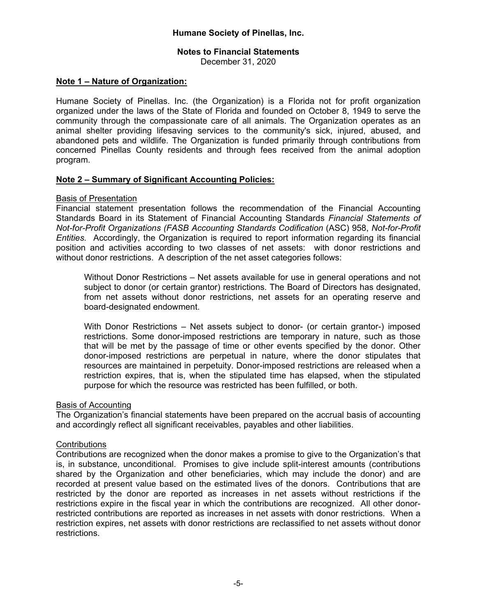## **Notes to Financial Statements**

December 31, 2020

#### **Note 1 – Nature of Organization:**

Humane Society of Pinellas. Inc. (the Organization) is a Florida not for profit organization organized under the laws of the State of Florida and founded on October 8, 1949 to serve the community through the compassionate care of all animals. The Organization operates as an animal shelter providing lifesaving services to the community's sick, injured, abused, and abandoned pets and wildlife. The Organization is funded primarily through contributions from concerned Pinellas County residents and through fees received from the animal adoption program.

#### **Note 2 – Summary of Significant Accounting Policies:**

#### Basis of Presentation

Financial statement presentation follows the recommendation of the Financial Accounting Standards Board in its Statement of Financial Accounting Standards *Financial Statements of Not-for-Profit Organizations (FASB Accounting Standards Codification* (ASC) 958, *Not-for-Profit Entities.* Accordingly, the Organization is required to report information regarding its financial position and activities according to two classes of net assets: with donor restrictions and without donor restrictions. A description of the net asset categories follows:

Without Donor Restrictions – Net assets available for use in general operations and not subject to donor (or certain grantor) restrictions. The Board of Directors has designated, from net assets without donor restrictions, net assets for an operating reserve and board-designated endowment.

With Donor Restrictions – Net assets subject to donor- (or certain grantor-) imposed restrictions. Some donor-imposed restrictions are temporary in nature, such as those that will be met by the passage of time or other events specified by the donor. Other donor-imposed restrictions are perpetual in nature, where the donor stipulates that resources are maintained in perpetuity. Donor-imposed restrictions are released when a restriction expires, that is, when the stipulated time has elapsed, when the stipulated purpose for which the resource was restricted has been fulfilled, or both.

#### Basis of Accounting

The Organization's financial statements have been prepared on the accrual basis of accounting and accordingly reflect all significant receivables, payables and other liabilities.

#### **Contributions**

Contributions are recognized when the donor makes a promise to give to the Organization's that is, in substance, unconditional. Promises to give include split-interest amounts (contributions shared by the Organization and other beneficiaries, which may include the donor) and are recorded at present value based on the estimated lives of the donors. Contributions that are restricted by the donor are reported as increases in net assets without restrictions if the restrictions expire in the fiscal year in which the contributions are recognized. All other donorrestricted contributions are reported as increases in net assets with donor restrictions. When a restriction expires, net assets with donor restrictions are reclassified to net assets without donor restrictions.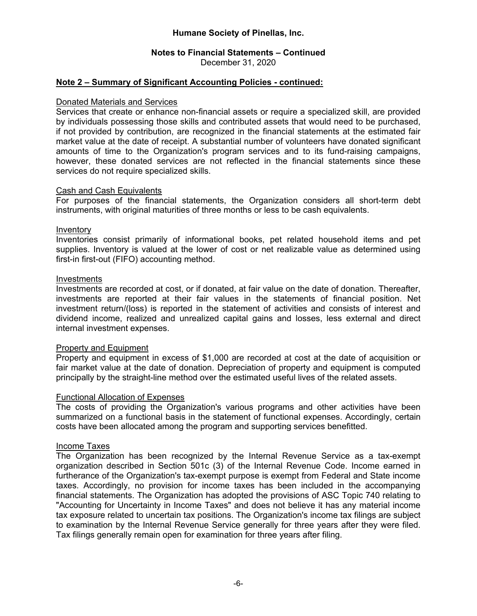## **Notes to Financial Statements – Continued**

December 31, 2020

#### **Note 2 – Summary of Significant Accounting Policies - continued:**

#### Donated Materials and Services

Services that create or enhance non-financial assets or require a specialized skill, are provided by individuals possessing those skills and contributed assets that would need to be purchased, if not provided by contribution, are recognized in the financial statements at the estimated fair market value at the date of receipt. A substantial number of volunteers have donated significant amounts of time to the Organization's program services and to its fund-raising campaigns, however, these donated services are not reflected in the financial statements since these services do not require specialized skills.

#### Cash and Cash Equivalents

For purposes of the financial statements, the Organization considers all short-term debt instruments, with original maturities of three months or less to be cash equivalents.

#### Inventory

Inventories consist primarily of informational books, pet related household items and pet supplies. Inventory is valued at the lower of cost or net realizable value as determined using first-in first-out (FIFO) accounting method.

#### Investments

Investments are recorded at cost, or if donated, at fair value on the date of donation. Thereafter, investments are reported at their fair values in the statements of financial position. Net investment return/(loss) is reported in the statement of activities and consists of interest and dividend income, realized and unrealized capital gains and losses, less external and direct internal investment expenses.

#### Property and Equipment

Property and equipment in excess of \$1,000 are recorded at cost at the date of acquisition or fair market value at the date of donation. Depreciation of property and equipment is computed principally by the straight-line method over the estimated useful lives of the related assets.

#### Functional Allocation of Expenses

The costs of providing the Organization's various programs and other activities have been summarized on a functional basis in the statement of functional expenses. Accordingly, certain costs have been allocated among the program and supporting services benefitted.

#### Income Taxes

The Organization has been recognized by the Internal Revenue Service as a tax-exempt organization described in Section 501c (3) of the Internal Revenue Code. Income earned in furtherance of the Organization's tax-exempt purpose is exempt from Federal and State income taxes. Accordingly, no provision for income taxes has been included in the accompanying financial statements. The Organization has adopted the provisions of ASC Topic 740 relating to "Accounting for Uncertainty in Income Taxes" and does not believe it has any material income tax exposure related to uncertain tax positions. The Organization's income tax filings are subject to examination by the Internal Revenue Service generally for three years after they were filed. Tax filings generally remain open for examination for three years after filing.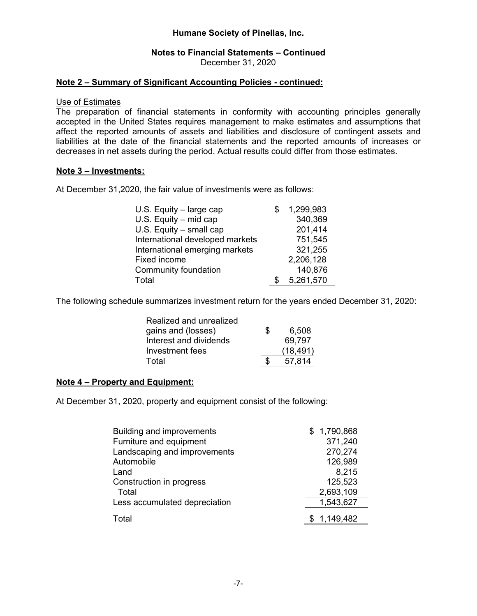## **Notes to Financial Statements – Continued**

December 31, 2020

#### **Note 2 – Summary of Significant Accounting Policies - continued:**

#### Use of Estimates

The preparation of financial statements in conformity with accounting principles generally accepted in the United States requires management to make estimates and assumptions that affect the reported amounts of assets and liabilities and disclosure of contingent assets and liabilities at the date of the financial statements and the reported amounts of increases or decreases in net assets during the period. Actual results could differ from those estimates.

#### **Note 3 – Investments:**

At December 31,2020, the fair value of investments were as follows:

| $U.S.$ Equity $-$ large cap     | 1,299,983 |
|---------------------------------|-----------|
| U.S. Equity $-$ mid cap         | 340,369   |
| $U.S.$ Equity – small cap       | 201,414   |
| International developed markets | 751,545   |
| International emerging markets  | 321,255   |
| Fixed income                    | 2,206,128 |
| Community foundation            | 140,876   |
| Total                           | 5,261,570 |

The following schedule summarizes investment return for the years ended December 31, 2020:

| Realized and unrealized |   |           |
|-------------------------|---|-----------|
| gains and (losses)      | S | 6,508     |
| Interest and dividends  |   | 69.797    |
| Investment fees         |   | (18, 491) |
| Total                   |   | 57,814    |

#### **Note 4 – Property and Equipment:**

At December 31, 2020, property and equipment consist of the following:

| Building and improvements     | \$1,790,868 |
|-------------------------------|-------------|
| Furniture and equipment       | 371,240     |
| Landscaping and improvements  | 270,274     |
| Automobile                    | 126,989     |
| Land                          | 8,215       |
| Construction in progress      | 125,523     |
| Total                         | 2,693,109   |
| Less accumulated depreciation | 1,543,627   |
| Total                         | 1,149,482   |
|                               |             |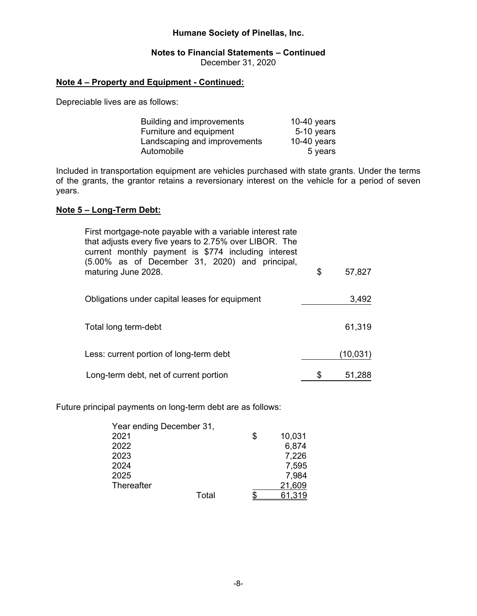#### **Notes to Financial Statements – Continued**

December 31, 2020

## **Note 4 – Property and Equipment - Continued:**

Depreciable lives are as follows:

| Building and improvements    | 10-40 years |
|------------------------------|-------------|
| Furniture and equipment      | 5-10 years  |
| Landscaping and improvements | 10-40 years |
| Automobile                   | 5 years     |

Included in transportation equipment are vehicles purchased with state grants. Under the terms of the grants, the grantor retains a reversionary interest on the vehicle for a period of seven years.

#### **Note 5 – Long-Term Debt:**

| First mortgage-note payable with a variable interest rate<br>that adjusts every five years to 2.75% over LIBOR. The<br>current monthly payment is \$774 including interest<br>(5.00% as of December 31, 2020) and principal, |              |
|------------------------------------------------------------------------------------------------------------------------------------------------------------------------------------------------------------------------------|--------------|
| maturing June 2028.                                                                                                                                                                                                          | \$<br>57,827 |
| Obligations under capital leases for equipment                                                                                                                                                                               | 3,492        |
| Total long term-debt                                                                                                                                                                                                         | 61,319       |
| Less: current portion of long-term debt                                                                                                                                                                                      | (10,031)     |
| Long-term debt, net of current portion                                                                                                                                                                                       | 51,288       |

Future principal payments on long-term debt are as follows:

| Year ending December 31, |               |
|--------------------------|---------------|
| 2021                     | \$<br>10,031  |
| 2022                     | 6,874         |
| 2023                     | 7,226         |
| 2024                     | 7,595         |
| 2025                     | 7,984         |
| <b>Thereafter</b>        | 21,609        |
| Total                    | <u>61,319</u> |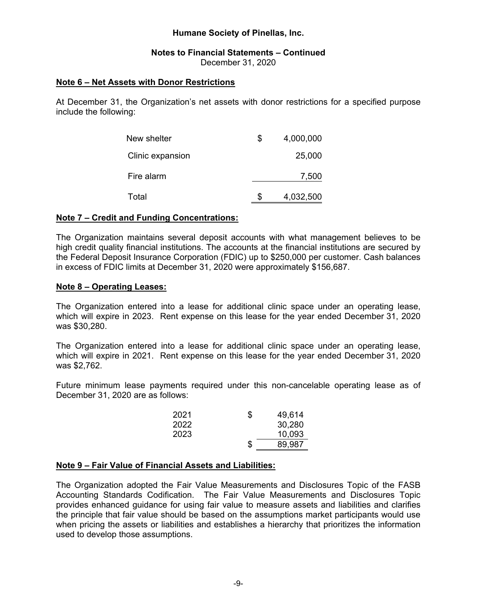#### **Notes to Financial Statements – Continued**

December 31, 2020

#### **Note 6 – Net Assets with Donor Restrictions**

At December 31, the Organization's net assets with donor restrictions for a specified purpose include the following:

| New shelter      | S | 4,000,000 |
|------------------|---|-----------|
| Clinic expansion |   | 25,000    |
| Fire alarm       |   | 7,500     |
| Total            | S | 4,032,500 |

#### **Note 7 – Credit and Funding Concentrations:**

The Organization maintains several deposit accounts with what management believes to be high credit quality financial institutions. The accounts at the financial institutions are secured by the Federal Deposit Insurance Corporation (FDIC) up to \$250,000 per customer. Cash balances in excess of FDIC limits at December 31, 2020 were approximately \$156,687.

#### **Note 8 – Operating Leases:**

The Organization entered into a lease for additional clinic space under an operating lease, which will expire in 2023. Rent expense on this lease for the year ended December 31, 2020 was \$30,280.

The Organization entered into a lease for additional clinic space under an operating lease, which will expire in 2021. Rent expense on this lease for the year ended December 31, 2020 was \$2,762.

Future minimum lease payments required under this non-cancelable operating lease as of December 31, 2020 are as follows:

| 2021 | S | 49,614 |
|------|---|--------|
| 2022 |   | 30,280 |
| 2023 |   | 10,093 |
|      | S | 89,987 |

#### **Note 9 – Fair Value of Financial Assets and Liabilities:**

The Organization adopted the Fair Value Measurements and Disclosures Topic of the FASB Accounting Standards Codification. The Fair Value Measurements and Disclosures Topic provides enhanced guidance for using fair value to measure assets and liabilities and clarifies the principle that fair value should be based on the assumptions market participants would use when pricing the assets or liabilities and establishes a hierarchy that prioritizes the information used to develop those assumptions.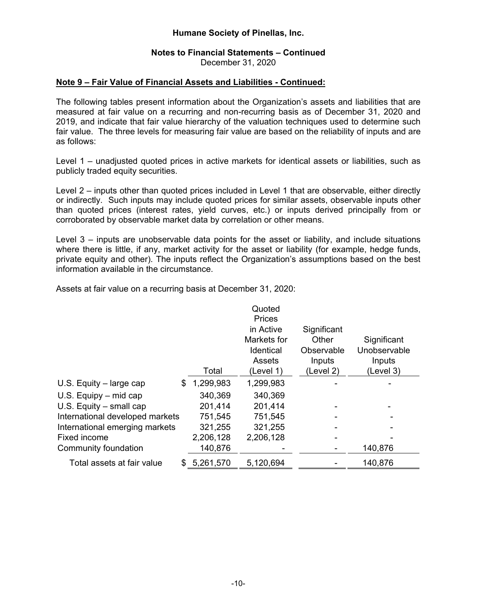## **Notes to Financial Statements – Continued**

December 31, 2020

#### **Note 9 – Fair Value of Financial Assets and Liabilities - Continued:**

The following tables present information about the Organization's assets and liabilities that are measured at fair value on a recurring and non-recurring basis as of December 31, 2020 and 2019, and indicate that fair value hierarchy of the valuation techniques used to determine such fair value. The three levels for measuring fair value are based on the reliability of inputs and are as follows:

Level 1 – unadjusted quoted prices in active markets for identical assets or liabilities, such as publicly traded equity securities.

Level 2 – inputs other than quoted prices included in Level 1 that are observable, either directly or indirectly. Such inputs may include quoted prices for similar assets, observable inputs other than quoted prices (interest rates, yield curves, etc.) or inputs derived principally from or corroborated by observable market data by correlation or other means.

Level 3 – inputs are unobservable data points for the asset or liability, and include situations where there is little, if any, market activity for the asset or liability (for example, hedge funds, private equity and other). The inputs reflect the Organization's assumptions based on the best information available in the circumstance.

Assets at fair value on a recurring basis at December 31, 2020:

|                                 |             | Quoted<br><b>Prices</b><br>in Active<br>Markets for<br><b>Identical</b><br>Assets | Significant<br>Other<br>Observable<br>Inputs | Significant<br>Unobservable<br>Inputs |
|---------------------------------|-------------|-----------------------------------------------------------------------------------|----------------------------------------------|---------------------------------------|
|                                 | Total       | (Level 1)                                                                         | (Level 2)                                    | (Level 3)                             |
| U.S. Equity - large cap<br>S.   | 1,299,983   | 1,299,983                                                                         |                                              |                                       |
| $U.S.$ Equipy – mid cap         | 340,369     | 340,369                                                                           |                                              |                                       |
| U.S. Equity $-$ small cap       | 201,414     | 201,414                                                                           |                                              |                                       |
| International developed markets | 751,545     | 751,545                                                                           |                                              |                                       |
| International emerging markets  | 321,255     | 321,255                                                                           |                                              |                                       |
| Fixed income                    | 2,206,128   | 2,206,128                                                                         |                                              |                                       |
| Community foundation            | 140,876     |                                                                                   |                                              | 140,876                               |
| Total assets at fair value      | \$5,261,570 | 5,120,694                                                                         |                                              | 140,876                               |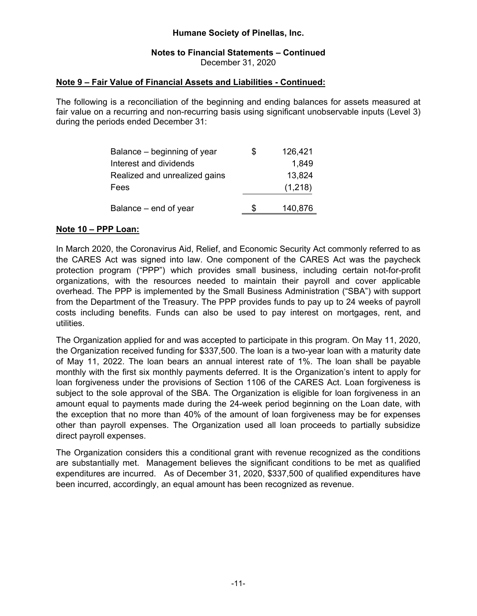## **Notes to Financial Statements – Continued**

December 31, 2020

#### **Note 9 – Fair Value of Financial Assets and Liabilities - Continued:**

The following is a reconciliation of the beginning and ending balances for assets measured at fair value on a recurring and non-recurring basis using significant unobservable inputs (Level 3) during the periods ended December 31:

| Balance – beginning of year   | \$<br>126,421 |
|-------------------------------|---------------|
| Interest and dividends        | 1,849         |
| Realized and unrealized gains | 13,824        |
| Fees                          | (1,218)       |
| Balance – end of year         | \$<br>140,876 |

#### **Note 10 – PPP Loan:**

In March 2020, the Coronavirus Aid, Relief, and Economic Security Act commonly referred to as the CARES Act was signed into law. One component of the CARES Act was the paycheck protection program ("PPP") which provides small business, including certain not-for-profit organizations, with the resources needed to maintain their payroll and cover applicable overhead. The PPP is implemented by the Small Business Administration ("SBA") with support from the Department of the Treasury. The PPP provides funds to pay up to 24 weeks of payroll costs including benefits. Funds can also be used to pay interest on mortgages, rent, and utilities.

The Organization applied for and was accepted to participate in this program. On May 11, 2020, the Organization received funding for \$337,500. The loan is a two-year loan with a maturity date of May 11, 2022. The loan bears an annual interest rate of 1%. The loan shall be payable monthly with the first six monthly payments deferred. It is the Organization's intent to apply for loan forgiveness under the provisions of Section 1106 of the CARES Act. Loan forgiveness is subject to the sole approval of the SBA. The Organization is eligible for loan forgiveness in an amount equal to payments made during the 24-week period beginning on the Loan date, with the exception that no more than 40% of the amount of loan forgiveness may be for expenses other than payroll expenses. The Organization used all loan proceeds to partially subsidize direct payroll expenses.

The Organization considers this a conditional grant with revenue recognized as the conditions are substantially met. Management believes the significant conditions to be met as qualified expenditures are incurred. As of December 31, 2020, \$337,500 of qualified expenditures have been incurred, accordingly, an equal amount has been recognized as revenue.